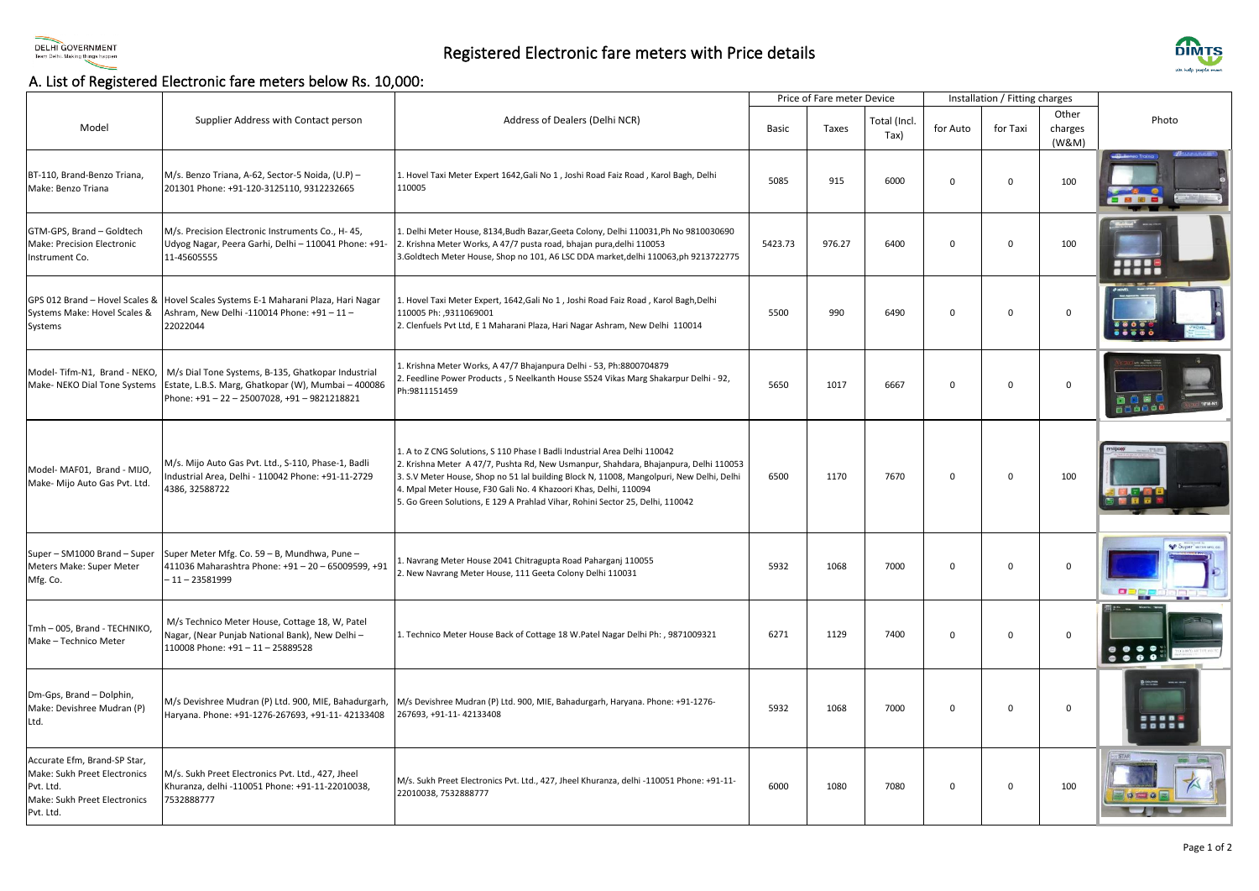

## Registered Electronic fare meters with Price details



## A. List of Registered Electronic fare meters below Rs. 10,000:

|                                                                                                                        |                                                                                                                                                     |                                                                                                                                                                                                                                                                                                                                                                                                                   | Price of Fare meter Device |        |                      | Installation / Fitting charges |             |                           |                               |
|------------------------------------------------------------------------------------------------------------------------|-----------------------------------------------------------------------------------------------------------------------------------------------------|-------------------------------------------------------------------------------------------------------------------------------------------------------------------------------------------------------------------------------------------------------------------------------------------------------------------------------------------------------------------------------------------------------------------|----------------------------|--------|----------------------|--------------------------------|-------------|---------------------------|-------------------------------|
| Model                                                                                                                  | Supplier Address with Contact person                                                                                                                | Address of Dealers (Delhi NCR)                                                                                                                                                                                                                                                                                                                                                                                    | Basic                      | Taxes  | Total (Incl.<br>Tax) | for Auto                       | for Taxi    | Other<br>charges<br>(W&M) | Photo                         |
| BT-110, Brand-Benzo Triana,<br>Make: Benzo Triana                                                                      | M/s. Benzo Triana, A-62, Sector-5 Noida, (U.P) -<br>201301 Phone: +91-120-3125110, 9312232665                                                       | L. Hovel Taxi Meter Expert 1642, Gali No 1, Joshi Road Faiz Road, Karol Bagh, Delhi<br>110005                                                                                                                                                                                                                                                                                                                     | 5085                       | 915    | 6000                 | $\mathbf 0$                    | $\Omega$    | 100                       | - - -                         |
| GTM-GPS, Brand - Goldtech<br>Make: Precision Electronic<br>Instrument Co.                                              | M/s. Precision Electronic Instruments Co., H-45,<br>Udyog Nagar, Peera Garhi, Delhi - 110041 Phone: +91-<br>11-45605555                             | . Delhi Meter House, 8134, Budh Bazar, Geeta Colony, Delhi 110031, Ph No 9810030690<br>2. Krishna Meter Works, A 47/7 pusta road, bhajan pura,delhi 110053<br>3.Goldtech Meter House, Shop no 101, A6 LSC DDA market,delhi 110063,ph 9213722775                                                                                                                                                                   | 5423.73                    | 976.27 | 6400                 | $\mathbf 0$                    | $\Omega$    | 100                       | <b>TESOS</b><br>88 B B B      |
| GPS 012 Brand - Hovel Scales &<br>Systems Make: Hovel Scales &<br>Systems                                              | Hovel Scales Systems E-1 Maharani Plaza, Hari Nagar<br>Ashram, New Delhi -110014 Phone: +91 - 11 -<br>22022044                                      | Hovel Taxi Meter Expert, 1642, Gali No 1, Joshi Road Faiz Road, Karol Bagh, Delhi<br>110005 Ph: ,9311069001<br>. Clenfuels Pvt Ltd, E 1 Maharani Plaza, Hari Nagar Ashram, New Delhi 110014                                                                                                                                                                                                                       | 5500                       | 990    | 6490                 | 0                              | $\Omega$    | $\mathbf 0$               |                               |
| Model-Tifm-N1, Brand - NEKO,<br>Make- NEKO Dial Tone Systems                                                           | M/s Dial Tone Systems, B-135, Ghatkopar Industrial<br>Estate, L.B.S. Marg, Ghatkopar (W), Mumbai - 400086<br>Phone: +91-22-25007028, +91-9821218821 | . Krishna Meter Works, A 47/7 Bhajanpura Delhi - 53, Ph:8800704879<br>. Feedline Power Products, 5 Neelkanth House S524 Vikas Marg Shakarpur Delhi - 92,<br>Ph:9811151459                                                                                                                                                                                                                                         | 5650                       | 1017   | 6667                 | $\mathbf 0$                    | $\mathbf 0$ | $\mathbf 0$               | 660001                        |
| Model- MAF01, Brand - MIJO,<br>Make- Mijo Auto Gas Pvt. Ltd.                                                           | M/s. Mijo Auto Gas Pvt. Ltd., S-110, Phase-1, Badli<br>ndustrial Area, Delhi - 110042 Phone: +91-11-2729<br>4386, 32588722                          | 1. A to Z CNG Solutions, S 110 Phase I Badli Industrial Area Delhi 110042<br>2. Krishna Meter A 47/7, Pushta Rd, New Usmanpur, Shahdara, Bhajanpura, Delhi 110053<br>3. S.V Meter House, Shop no 51 lal building Block N, 11008, Mangolpuri, New Delhi, Delhi<br>4. Mpal Meter House, F30 Gali No. 4 Khazoori Khas, Delhi, 110094<br>. Go Green Solutions, E 129 A Prahlad Vihar, Rohini Sector 25, Delhi, 110042 | 6500                       | 1170   | 7670                 | $\mathbf 0$                    | $\Omega$    | 100                       |                               |
| Super - SM1000 Brand - Super<br>Meters Make: Super Meter<br>Mfg. Co.                                                   | Super Meter Mfg. Co. 59 - B, Mundhwa, Pune -<br>411036 Maharashtra Phone: +91 - 20 - 65009599, +91<br>$-11 - 23581999$                              | Navrang Meter House 2041 Chitragupta Road Paharganj 110055<br>New Navrang Meter House, 111 Geeta Colony Delhi 110031                                                                                                                                                                                                                                                                                              | 5932                       | 1068   | 7000                 | $\mathbf 0$                    | $\Omega$    | $\mathbf 0$               | <b>Super</b> WITHOUT          |
| Tmh - 005, Brand - TECHNIKO,<br>Make - Technico Meter                                                                  | M/s Technico Meter House, Cottage 18, W, Patel<br>Nagar, (Near Punjab National Bank), New Delhi-<br>110008 Phone: +91 - 11 - 25889528               | 1. Technico Meter House Back of Cottage 18 W.Patel Nagar Delhi Ph: , 9871009321                                                                                                                                                                                                                                                                                                                                   | 6271                       | 1129   | 7400                 | $\mathbf 0$                    | $\Omega$    | $\mathbf{0}$              | 0 0 0 0                       |
| Dm-Gps, Brand - Dolphin,<br>Make: Devishree Mudran (P)<br>Ltd.                                                         | M/s Devishree Mudran (P) Ltd. 900, MIE, Bahadurgarh,<br>Haryana. Phone: +91-1276-267693, +91-11- 42133408                                           | M/s Devishree Mudran (P) Ltd. 900, MIE, Bahadurgarh, Haryana. Phone: +91-1276-<br>267693, +91-11-42133408                                                                                                                                                                                                                                                                                                         | 5932                       | 1068   | 7000                 | $\mathbf{0}$                   | $\Omega$    | $\mathbf{0}$              | -----<br>                     |
| Accurate Efm, Brand-SP Star,<br>Make: Sukh Preet Electronics<br>Pvt. Ltd.<br>Make: Sukh Preet Electronics<br>Pvt. Ltd. | M/s. Sukh Preet Electronics Pvt. Ltd., 427, Jheel<br>Khuranza, delhi -110051 Phone: +91-11-22010038,<br>7532888777                                  | M/s. Sukh Preet Electronics Pvt. Ltd., 427, Jheel Khuranza, delhi -110051 Phone: +91-11-<br>22010038, 7532888777                                                                                                                                                                                                                                                                                                  | 6000                       | 1080   | 7080                 | $\mathbf{0}$                   | $\Omega$    | 100                       | STAR<br><b>General Famous</b> |